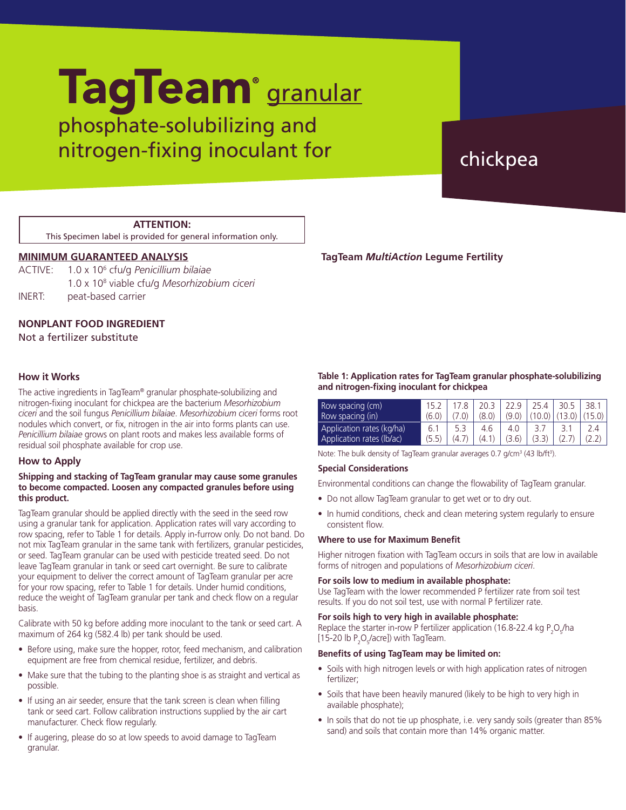# phosphate-solubilizing and nitrogen-fixing inoculant for a chickpea TagTeam<sup>®</sup> granular

## **ATTENTION:**

This Specimen label is provided for general information only.

# **MINIMUM GUARANTEED ANALYSIS**

| ACTIVE: | 1.0 x 10 <sup>6</sup> cfu/g Penicillium bilaiae         |
|---------|---------------------------------------------------------|
|         | 1.0 x 10 <sup>8</sup> viable cfu/g Mesorhizobium ciceri |
| INERT:  | peat-based carrier                                      |

# **NONPLANT FOOD INGREDIENT**

Not a fertilizer substitute

## **How it Works**

The active ingredients in TagTeam® granular phosphate-solubilizing and nitrogen-fixing inoculant for chickpea are the bacterium *Mesorhizobium ciceri* and the soil fungus *Penicillium bilaiae*. *Mesorhizobium ciceri* forms root nodules which convert, or fix, nitrogen in the air into forms plants can use. *Penicillium bilaiae* grows on plant roots and makes less available forms of residual soil phosphate available for crop use.

## **How to Apply**

### **Shipping and stacking of TagTeam granular may cause some granules to become compacted. Loosen any compacted granules before using this product.**

TagTeam granular should be applied directly with the seed in the seed row using a granular tank for application. Application rates will vary according to row spacing, refer to Table 1 for details. Apply in-furrow only. Do not band. Do not mix TagTeam granular in the same tank with fertilizers, granular pesticides, or seed. TagTeam granular can be used with pesticide treated seed. Do not leave TagTeam granular in tank or seed cart overnight. Be sure to calibrate your equipment to deliver the correct amount of TagTeam granular per acre for your row spacing, refer to Table 1 for details. Under humid conditions, reduce the weight of TagTeam granular per tank and check flow on a regular basis.

Calibrate with 50 kg before adding more inoculant to the tank or seed cart. A maximum of 264 kg (582.4 lb) per tank should be used.

- Before using, make sure the hopper, rotor, feed mechanism, and calibration equipment are free from chemical residue, fertilizer, and debris.
- Make sure that the tubing to the planting shoe is as straight and vertical as possible.
- If using an air seeder, ensure that the tank screen is clean when filling tank or seed cart. Follow calibration instructions supplied by the air cart manufacturer. Check flow regularly.
- If augering, please do so at low speeds to avoid damage to TagTeam granular.

**TagTeam** *MultiAction* **Legume Fertility**

#### **Table 1: Application rates for TagTeam granular phosphate-solubilizing and nitrogen-fixing inoculant for chickpea**

| Row spacing (cm)<br>Row spacing (in)                   | (6.0)        |       | 20.3<br>(8.0) | 22.9<br>(9.0) | 254<br>(10.0) | 30.5<br>(13.0) | 38.1 |
|--------------------------------------------------------|--------------|-------|---------------|---------------|---------------|----------------|------|
| Application rates (kg/ha)<br>Application rates (lb/ac) | 6.1<br>(5.5) | (4.7) | 4.6<br>(4.1)  | 4.0<br>(3.6)  | (3.3)         |                |      |

Note: The bulk density of TagTeam granular averages 0.7 g/cm<sup>3</sup> (43 lb/ft<sup>3</sup>).

#### **Special Considerations**

Environmental conditions can change the flowability of TagTeam granular.

- Do not allow TagTeam granular to get wet or to dry out.
- In humid conditions, check and clean metering system regularly to ensure consistent flow.

## **Where to use for Maximum Benefit**

Higher nitrogen fixation with TagTeam occurs in soils that are low in available forms of nitrogen and populations of *Mesorhizobium ciceri*.

### **For soils low to medium in available phosphate:**

Use TagTeam with the lower recommended P fertilizer rate from soil test results. If you do not soil test, use with normal P fertilizer rate.

### **For soils high to very high in available phosphate:**

Replace the starter in-row P fertilizer application (16.8-22.4 kg  $P_2O_f/ha$ [15-20 lb  $P_2O_5/$ acre]) with TagTeam.

### **Benefits of using TagTeam may be limited on:**

- Soils with high nitrogen levels or with high application rates of nitrogen fertilizer;
- Soils that have been heavily manured (likely to be high to very high in available phosphate);
- In soils that do not tie up phosphate, i.e. very sandy soils (greater than 85% sand) and soils that contain more than 14% organic matter.